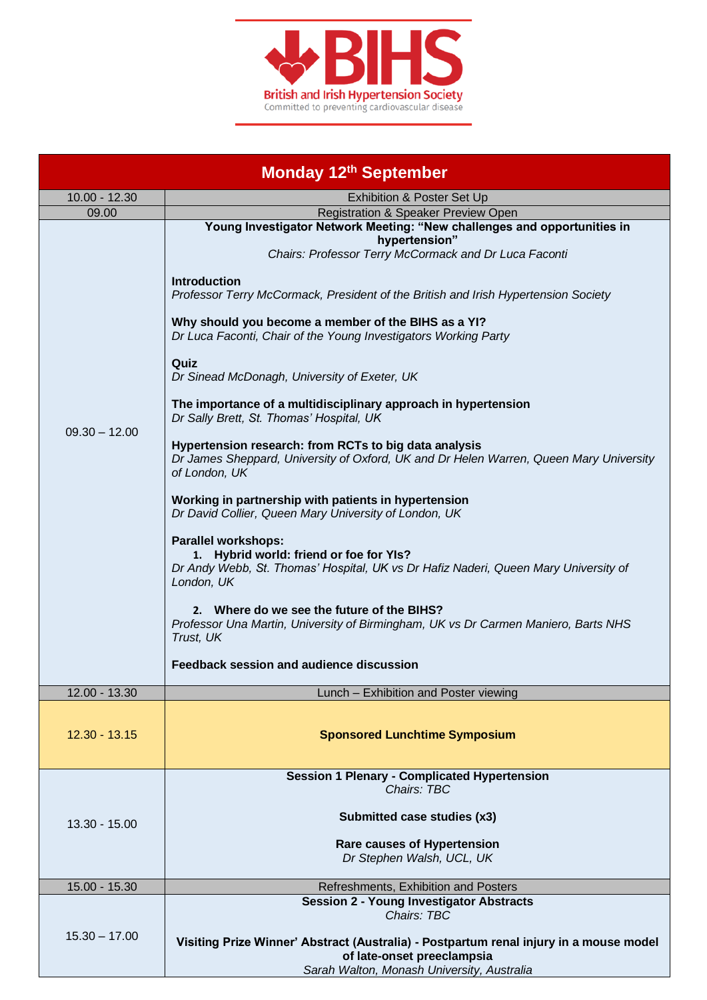

| <b>Monday 12th September</b> |                                                                                                                                                                            |  |
|------------------------------|----------------------------------------------------------------------------------------------------------------------------------------------------------------------------|--|
| $10.00 - 12.30$              | Exhibition & Poster Set Up                                                                                                                                                 |  |
| 09.00                        | Registration & Speaker Preview Open                                                                                                                                        |  |
| $09.30 - 12.00$              | Young Investigator Network Meeting: "New challenges and opportunities in<br>hypertension"<br>Chairs: Professor Terry McCormack and Dr Luca Faconti                         |  |
|                              | <b>Introduction</b><br>Professor Terry McCormack, President of the British and Irish Hypertension Society                                                                  |  |
|                              | Why should you become a member of the BIHS as a YI?<br>Dr Luca Faconti, Chair of the Young Investigators Working Party                                                     |  |
|                              | Quiz<br>Dr Sinead McDonagh, University of Exeter, UK                                                                                                                       |  |
|                              | The importance of a multidisciplinary approach in hypertension<br>Dr Sally Brett, St. Thomas' Hospital, UK                                                                 |  |
|                              | Hypertension research: from RCTs to big data analysis<br>Dr James Sheppard, University of Oxford, UK and Dr Helen Warren, Queen Mary University<br>of London, UK           |  |
|                              | Working in partnership with patients in hypertension<br>Dr David Collier, Queen Mary University of London, UK                                                              |  |
|                              | <b>Parallel workshops:</b><br>1. Hybrid world: friend or foe for YIs?<br>Dr Andy Webb, St. Thomas' Hospital, UK vs Dr Hafiz Naderi, Queen Mary University of<br>London, UK |  |
|                              | 2. Where do we see the future of the BIHS?<br>Professor Una Martin, University of Birmingham, UK vs Dr Carmen Maniero, Barts NHS<br>Trust, UK                              |  |
|                              | Feedback session and audience discussion                                                                                                                                   |  |
| 12.00 - 13.30                | Lunch - Exhibition and Poster viewing                                                                                                                                      |  |
| $12.30 - 13.15$              | <b>Sponsored Lunchtime Symposium</b>                                                                                                                                       |  |
|                              | <b>Session 1 Plenary - Complicated Hypertension</b>                                                                                                                        |  |
| 13.30 - 15.00                | Chairs: TBC                                                                                                                                                                |  |
|                              | Submitted case studies (x3)                                                                                                                                                |  |
|                              | <b>Rare causes of Hypertension</b><br>Dr Stephen Walsh, UCL, UK                                                                                                            |  |
| 15.00 - 15.30                | Refreshments, Exhibition and Posters                                                                                                                                       |  |
|                              | <b>Session 2 - Young Investigator Abstracts</b><br>Chairs: TBC                                                                                                             |  |
| $15.30 - 17.00$              | Visiting Prize Winner' Abstract (Australia) - Postpartum renal injury in a mouse model<br>of late-onset preeclampsia                                                       |  |
|                              | Sarah Walton, Monash University, Australia                                                                                                                                 |  |

 $\mathbf I$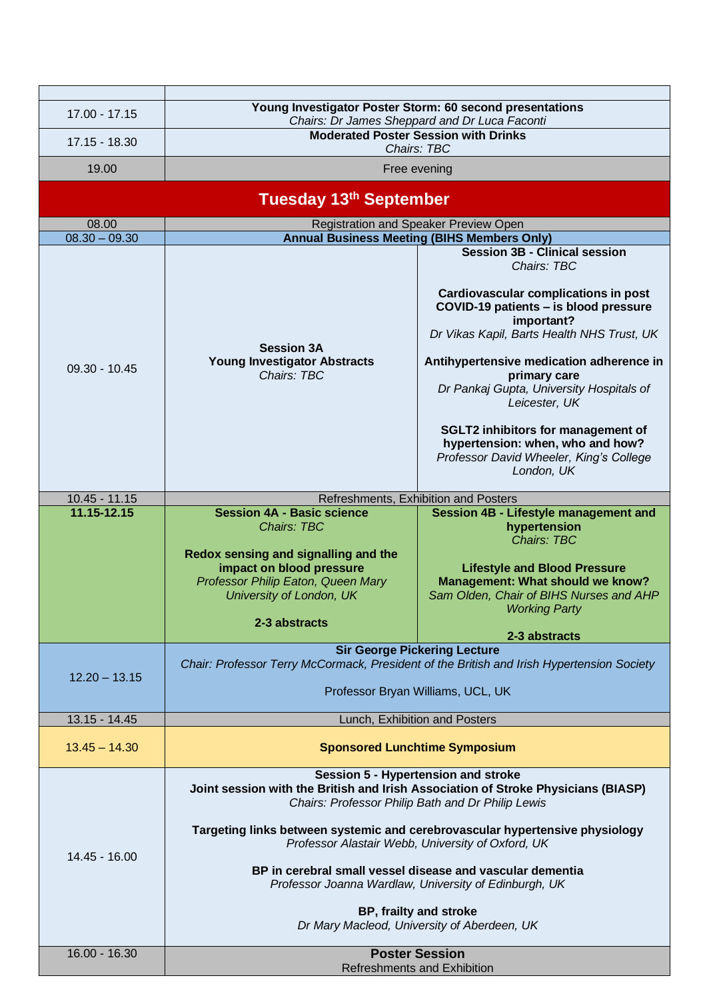| 17.00 - 17.15                  | Young Investigator Poster Storm: 60 second presentations                                                                                                                                                                                                                                                                                                                                                                                                                                                          |                                                                                                                                                                                                                                                                                                                                                                                                                                    |  |  |
|--------------------------------|-------------------------------------------------------------------------------------------------------------------------------------------------------------------------------------------------------------------------------------------------------------------------------------------------------------------------------------------------------------------------------------------------------------------------------------------------------------------------------------------------------------------|------------------------------------------------------------------------------------------------------------------------------------------------------------------------------------------------------------------------------------------------------------------------------------------------------------------------------------------------------------------------------------------------------------------------------------|--|--|
| 17.15 - 18.30                  | Chairs: Dr James Sheppard and Dr Luca Faconti<br><b>Moderated Poster Session with Drinks</b>                                                                                                                                                                                                                                                                                                                                                                                                                      |                                                                                                                                                                                                                                                                                                                                                                                                                                    |  |  |
|                                | Chairs: TBC                                                                                                                                                                                                                                                                                                                                                                                                                                                                                                       |                                                                                                                                                                                                                                                                                                                                                                                                                                    |  |  |
| 19.00                          | Free evening                                                                                                                                                                                                                                                                                                                                                                                                                                                                                                      |                                                                                                                                                                                                                                                                                                                                                                                                                                    |  |  |
| Tuesday 13th September         |                                                                                                                                                                                                                                                                                                                                                                                                                                                                                                                   |                                                                                                                                                                                                                                                                                                                                                                                                                                    |  |  |
| 08.00<br>$08.30 - 09.30$       |                                                                                                                                                                                                                                                                                                                                                                                                                                                                                                                   | Registration and Speaker Preview Open                                                                                                                                                                                                                                                                                                                                                                                              |  |  |
|                                | <b>Annual Business Meeting (BIHS Members Only)</b><br><b>Session 3B - Clinical session</b>                                                                                                                                                                                                                                                                                                                                                                                                                        |                                                                                                                                                                                                                                                                                                                                                                                                                                    |  |  |
| $09.30 - 10.45$                | <b>Session 3A</b><br><b>Young Investigator Abstracts</b><br>Chairs: TBC                                                                                                                                                                                                                                                                                                                                                                                                                                           | Chairs: TBC<br><b>Cardiovascular complications in post</b><br>COVID-19 patients - is blood pressure<br>important?<br>Dr Vikas Kapil, Barts Health NHS Trust, UK<br>Antihypertensive medication adherence in<br>primary care<br>Dr Pankaj Gupta, University Hospitals of<br>Leicester, UK<br><b>SGLT2 inhibitors for management of</b><br>hypertension: when, who and how?<br>Professor David Wheeler, King's College<br>London, UK |  |  |
| $10.45 - 11.15$<br>11.15-12.15 | Refreshments, Exhibition and Posters<br><b>Session 4A - Basic science</b><br>Session 4B - Lifestyle management and                                                                                                                                                                                                                                                                                                                                                                                                |                                                                                                                                                                                                                                                                                                                                                                                                                                    |  |  |
|                                | <b>Chairs: TBC</b><br>Redox sensing and signalling and the<br>impact on blood pressure<br>Professor Philip Eaton, Queen Mary<br>University of London, UK<br>2-3 abstracts                                                                                                                                                                                                                                                                                                                                         | hypertension<br>Chairs: TBC<br><b>Lifestyle and Blood Pressure</b><br><b>Management: What should we know?</b><br>Sam Olden, Chair of BIHS Nurses and AHP<br><b>Working Party</b><br>2-3 abstracts                                                                                                                                                                                                                                  |  |  |
|                                | <b>Sir George Pickering Lecture</b>                                                                                                                                                                                                                                                                                                                                                                                                                                                                               |                                                                                                                                                                                                                                                                                                                                                                                                                                    |  |  |
| $12.20 - 13.15$                | Chair: Professor Terry McCormack, President of the British and Irish Hypertension Society<br>Professor Bryan Williams, UCL, UK                                                                                                                                                                                                                                                                                                                                                                                    |                                                                                                                                                                                                                                                                                                                                                                                                                                    |  |  |
| $13.15 - 14.45$                | Lunch, Exhibition and Posters                                                                                                                                                                                                                                                                                                                                                                                                                                                                                     |                                                                                                                                                                                                                                                                                                                                                                                                                                    |  |  |
| $13.45 - 14.30$                | <b>Sponsored Lunchtime Symposium</b>                                                                                                                                                                                                                                                                                                                                                                                                                                                                              |                                                                                                                                                                                                                                                                                                                                                                                                                                    |  |  |
| 14.45 - 16.00                  | Session 5 - Hypertension and stroke<br>Joint session with the British and Irish Association of Stroke Physicians (BIASP)<br>Chairs: Professor Philip Bath and Dr Philip Lewis<br>Targeting links between systemic and cerebrovascular hypertensive physiology<br>Professor Alastair Webb, University of Oxford, UK<br>BP in cerebral small vessel disease and vascular dementia<br>Professor Joanna Wardlaw, University of Edinburgh, UK<br>BP, frailty and stroke<br>Dr Mary Macleod, University of Aberdeen, UK |                                                                                                                                                                                                                                                                                                                                                                                                                                    |  |  |
| $16.00 - 16.30$                | <b>Poster Session</b><br><b>Refreshments and Exhibition</b>                                                                                                                                                                                                                                                                                                                                                                                                                                                       |                                                                                                                                                                                                                                                                                                                                                                                                                                    |  |  |
|                                |                                                                                                                                                                                                                                                                                                                                                                                                                                                                                                                   |                                                                                                                                                                                                                                                                                                                                                                                                                                    |  |  |